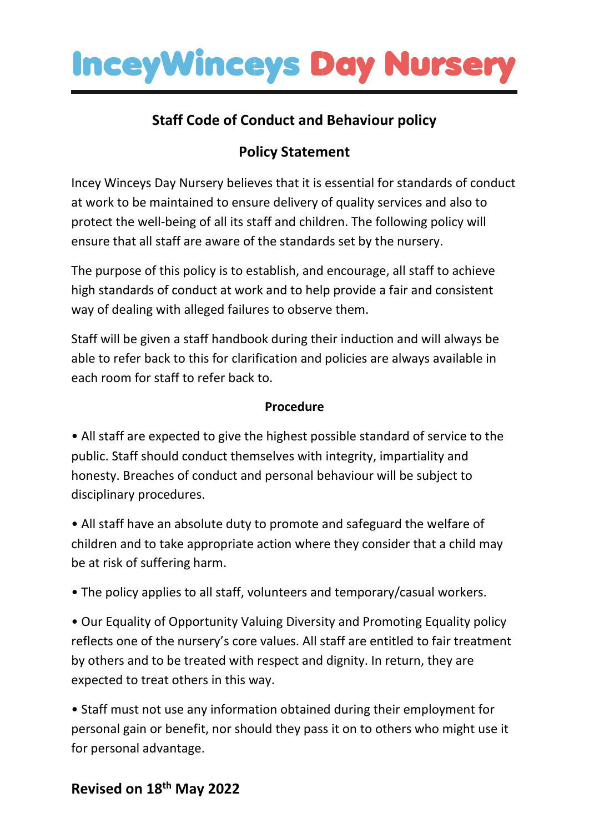

### **Staff Code of Conduct and Behaviour policy**

## **Policy Statement**

Incey Winceys Day Nursery believes that it is essential for standards of conduct at work to be maintained to ensure delivery of quality services and also to protect the well-being of all its staff and children. The following policy will ensure that all staff are aware of the standards set by the nursery.

The purpose of this policy is to establish, and encourage, all staff to achieve high standards of conduct at work and to help provide a fair and consistent way of dealing with alleged failures to observe them.

Staff will be given a staff handbook during their induction and will always be able to refer back to this for clarification and policies are always available in each room for staff to refer back to.

#### **Procedure**

• All staff are expected to give the highest possible standard of service to the public. Staff should conduct themselves with integrity, impartiality and honesty. Breaches of conduct and personal behaviour will be subject to disciplinary procedures.

• All staff have an absolute duty to promote and safeguard the welfare of children and to take appropriate action where they consider that a child may be at risk of suffering harm.

• The policy applies to all staff, volunteers and temporary/casual workers.

• Our Equality of Opportunity Valuing Diversity and Promoting Equality policy reflects one of the nursery's core values. All staff are entitled to fair treatment by others and to be treated with respect and dignity. In return, they are expected to treat others in this way.

• Staff must not use any information obtained during their employment for personal gain or benefit, nor should they pass it on to others who might use it for personal advantage.

## **Revised on 18th May 2022**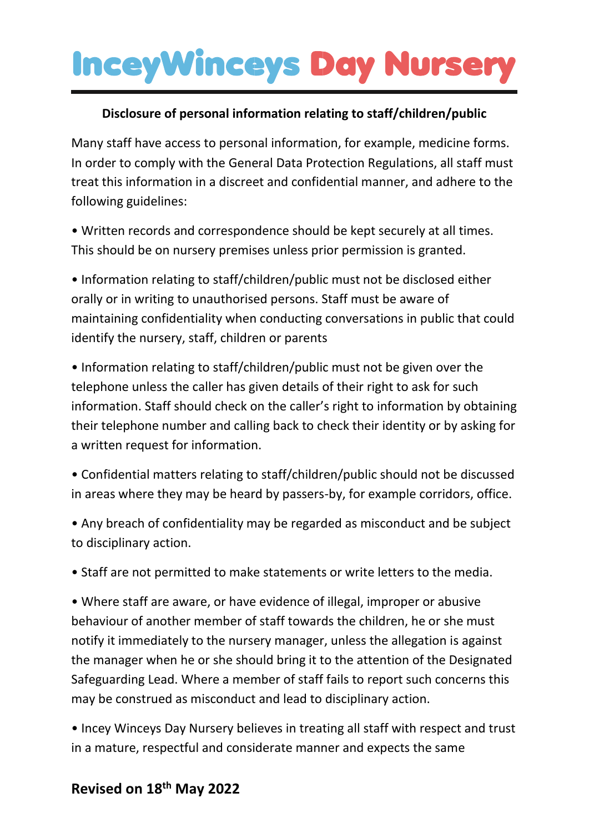#### **Disclosure of personal information relating to staff/children/public**

Many staff have access to personal information, for example, medicine forms. In order to comply with the General Data Protection Regulations, all staff must treat this information in a discreet and confidential manner, and adhere to the following guidelines:

• Written records and correspondence should be kept securely at all times. This should be on nursery premises unless prior permission is granted.

• Information relating to staff/children/public must not be disclosed either orally or in writing to unauthorised persons. Staff must be aware of maintaining confidentiality when conducting conversations in public that could identify the nursery, staff, children or parents

• Information relating to staff/children/public must not be given over the telephone unless the caller has given details of their right to ask for such information. Staff should check on the caller's right to information by obtaining their telephone number and calling back to check their identity or by asking for a written request for information.

• Confidential matters relating to staff/children/public should not be discussed in areas where they may be heard by passers-by, for example corridors, office.

• Any breach of confidentiality may be regarded as misconduct and be subject to disciplinary action.

• Staff are not permitted to make statements or write letters to the media.

• Where staff are aware, or have evidence of illegal, improper or abusive behaviour of another member of staff towards the children, he or she must notify it immediately to the nursery manager, unless the allegation is against the manager when he or she should bring it to the attention of the Designated Safeguarding Lead. Where a member of staff fails to report such concerns this may be construed as misconduct and lead to disciplinary action.

• Incey Winceys Day Nursery believes in treating all staff with respect and trust in a mature, respectful and considerate manner and expects the same

### **Revised on 18th May 2022**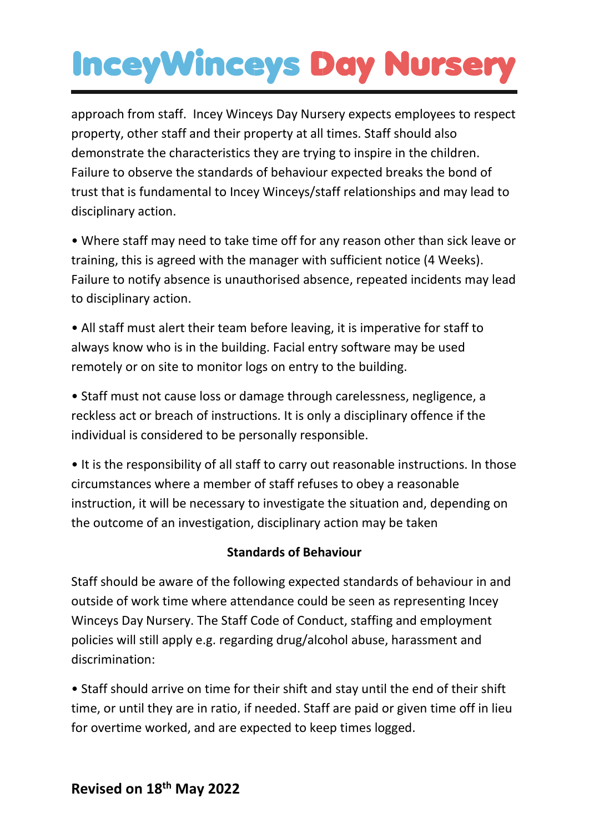approach from staff. Incey Winceys Day Nursery expects employees to respect property, other staff and their property at all times. Staff should also demonstrate the characteristics they are trying to inspire in the children. Failure to observe the standards of behaviour expected breaks the bond of trust that is fundamental to Incey Winceys/staff relationships and may lead to disciplinary action.

• Where staff may need to take time off for any reason other than sick leave or training, this is agreed with the manager with sufficient notice (4 Weeks). Failure to notify absence is unauthorised absence, repeated incidents may lead to disciplinary action.

• All staff must alert their team before leaving, it is imperative for staff to always know who is in the building. Facial entry software may be used remotely or on site to monitor logs on entry to the building.

• Staff must not cause loss or damage through carelessness, negligence, a reckless act or breach of instructions. It is only a disciplinary offence if the individual is considered to be personally responsible.

• It is the responsibility of all staff to carry out reasonable instructions. In those circumstances where a member of staff refuses to obey a reasonable instruction, it will be necessary to investigate the situation and, depending on the outcome of an investigation, disciplinary action may be taken

#### **Standards of Behaviour**

Staff should be aware of the following expected standards of behaviour in and outside of work time where attendance could be seen as representing Incey Winceys Day Nursery. The Staff Code of Conduct, staffing and employment policies will still apply e.g. regarding drug/alcohol abuse, harassment and discrimination:

• Staff should arrive on time for their shift and stay until the end of their shift time, or until they are in ratio, if needed. Staff are paid or given time off in lieu for overtime worked, and are expected to keep times logged.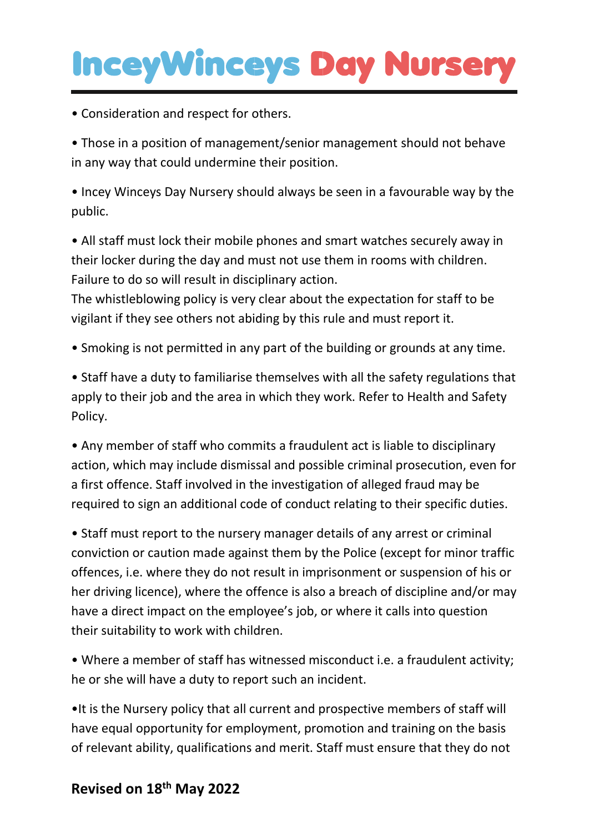• Consideration and respect for others.

• Those in a position of management/senior management should not behave in any way that could undermine their position.

• Incey Winceys Day Nursery should always be seen in a favourable way by the public.

• All staff must lock their mobile phones and smart watches securely away in their locker during the day and must not use them in rooms with children. Failure to do so will result in disciplinary action.

The whistleblowing policy is very clear about the expectation for staff to be vigilant if they see others not abiding by this rule and must report it.

• Smoking is not permitted in any part of the building or grounds at any time.

• Staff have a duty to familiarise themselves with all the safety regulations that apply to their job and the area in which they work. Refer to Health and Safety Policy.

• Any member of staff who commits a fraudulent act is liable to disciplinary action, which may include dismissal and possible criminal prosecution, even for a first offence. Staff involved in the investigation of alleged fraud may be required to sign an additional code of conduct relating to their specific duties.

• Staff must report to the nursery manager details of any arrest or criminal conviction or caution made against them by the Police (except for minor traffic offences, i.e. where they do not result in imprisonment or suspension of his or her driving licence), where the offence is also a breach of discipline and/or may have a direct impact on the employee's job, or where it calls into question their suitability to work with children.

• Where a member of staff has witnessed misconduct i.e. a fraudulent activity; he or she will have a duty to report such an incident.

•It is the Nursery policy that all current and prospective members of staff will have equal opportunity for employment, promotion and training on the basis of relevant ability, qualifications and merit. Staff must ensure that they do not

### **Revised on 18th May 2022**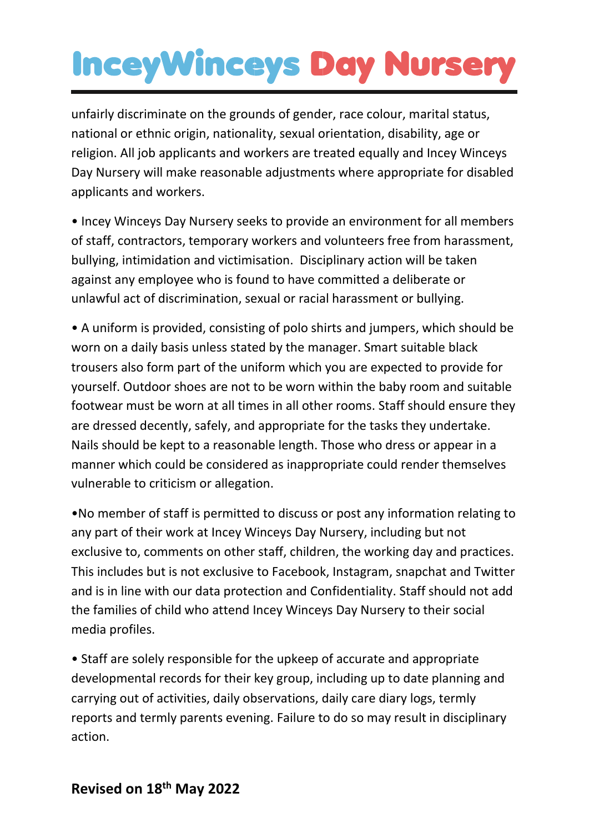unfairly discriminate on the grounds of gender, race colour, marital status, national or ethnic origin, nationality, sexual orientation, disability, age or religion. All job applicants and workers are treated equally and Incey Winceys Day Nursery will make reasonable adjustments where appropriate for disabled applicants and workers.

• Incey Winceys Day Nursery seeks to provide an environment for all members of staff, contractors, temporary workers and volunteers free from harassment, bullying, intimidation and victimisation. Disciplinary action will be taken against any employee who is found to have committed a deliberate or unlawful act of discrimination, sexual or racial harassment or bullying.

• A uniform is provided, consisting of polo shirts and jumpers, which should be worn on a daily basis unless stated by the manager. Smart suitable black trousers also form part of the uniform which you are expected to provide for yourself. Outdoor shoes are not to be worn within the baby room and suitable footwear must be worn at all times in all other rooms. Staff should ensure they are dressed decently, safely, and appropriate for the tasks they undertake. Nails should be kept to a reasonable length. Those who dress or appear in a manner which could be considered as inappropriate could render themselves vulnerable to criticism or allegation.

•No member of staff is permitted to discuss or post any information relating to any part of their work at Incey Winceys Day Nursery, including but not exclusive to, comments on other staff, children, the working day and practices. This includes but is not exclusive to Facebook, Instagram, snapchat and Twitter and is in line with our data protection and Confidentiality. Staff should not add the families of child who attend Incey Winceys Day Nursery to their social media profiles.

• Staff are solely responsible for the upkeep of accurate and appropriate developmental records for their key group, including up to date planning and carrying out of activities, daily observations, daily care diary logs, termly reports and termly parents evening. Failure to do so may result in disciplinary action.